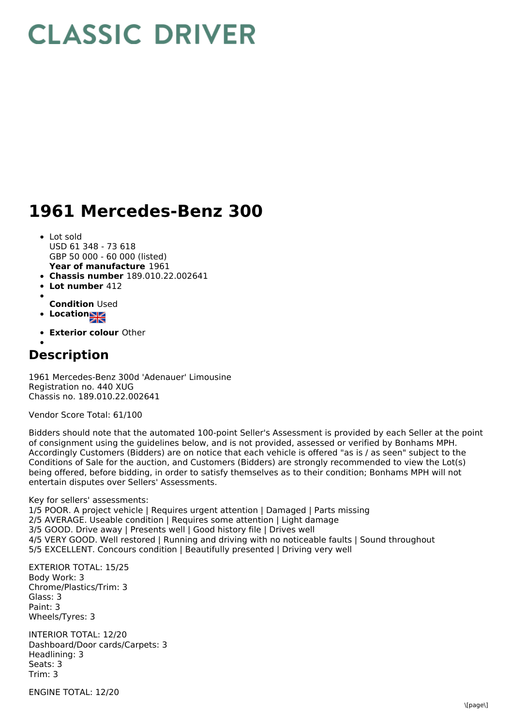## **CLASSIC DRIVER**

## **1961 Mercedes-Benz 300**

- **Year of manufacture** 1961 • Lot sold USD 61 348 - 73 618 GBP 50 000 - 60 000 (listed)
- **Chassis number** 189.010.22.002641
- **Lot number** 412
- 
- **Condition** Used
- **Location**
- **Exterior colour** Other

## **Description**

1961 Mercedes-Benz 300d 'Adenauer' Limousine Registration no. 440 XUG Chassis no. 189.010.22.002641

Vendor Score Total: 61/100

Bidders should note that the automated 100-point Seller's Assessment is provided by each Seller at the point of consignment using the guidelines below, and is not provided, assessed or verified by Bonhams MPH. Accordingly Customers (Bidders) are on notice that each vehicle is offered "as is / as seen" subject to the Conditions of Sale for the auction, and Customers (Bidders) are strongly recommended to view the Lot(s) being offered, before bidding, in order to satisfy themselves as to their condition; Bonhams MPH will not entertain disputes over Sellers' Assessments.

Key for sellers' assessments:

1/5 POOR. A project vehicle | Requires urgent attention | Damaged | Parts missing 2/5 AVERAGE. Useable condition | Requires some attention | Light damage 3/5 GOOD. Drive away | Presents well | Good history file | Drives well 4/5 VERY GOOD. Well restored | Running and driving with no noticeable faults | Sound throughout 5/5 EXCELLENT. Concours condition | Beautifully presented | Driving very well

EXTERIOR TOTAL: 15/25 Body Work: 3 Chrome/Plastics/Trim: 3 Glass: 3 Paint: 3 Wheels/Tyres: 3

INTERIOR TOTAL: 12/20 Dashboard/Door cards/Carpets: 3 Headlining: 3 Seats: 3 Trim: 3

ENGINE TOTAL: 12/20